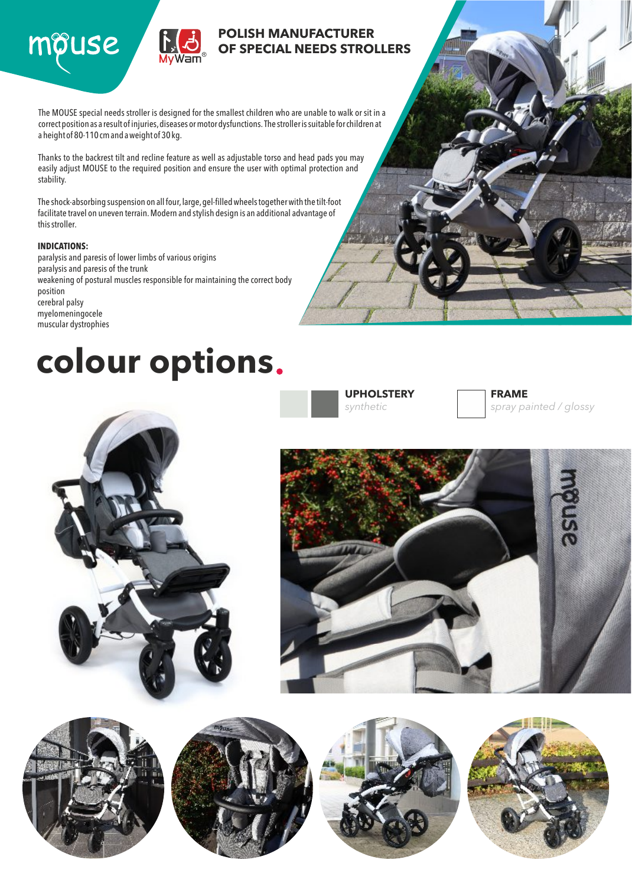



### **POLISH MANUFACTURER OF SPECIAL NEEDS STROLLERS**

The MOUSE special needs stroller is designed for the smallest children who are unable to walk or sit in a correct position as a result of injuries, diseases or motor dysfunctions. The stroller is suitable for children at a height of 80-110 cm and a weight of 30kg.

Thanks to the backrest tilt and recline feature as well as adjustable torso and head pads you may easily adjust MOUSE to the required position and ensure the user with optimal protection and stability.

The shock-absorbing suspension on all four, large, gel-filled wheels together with the tilt-foot facilitate travel on uneven terrain.Modern and stylish design is an additional advantage of this stroller.

#### **INDICATIONS:**

paralysis and paresis of lower limbs of various origins paralysis and paresis of the trunk weakening of postural muscles responsible for maintaining the correct body position cerebral palsy myelomeningocele muscular dystrophies

## **colour options**

**UPHOLSTERY** *synthetic*







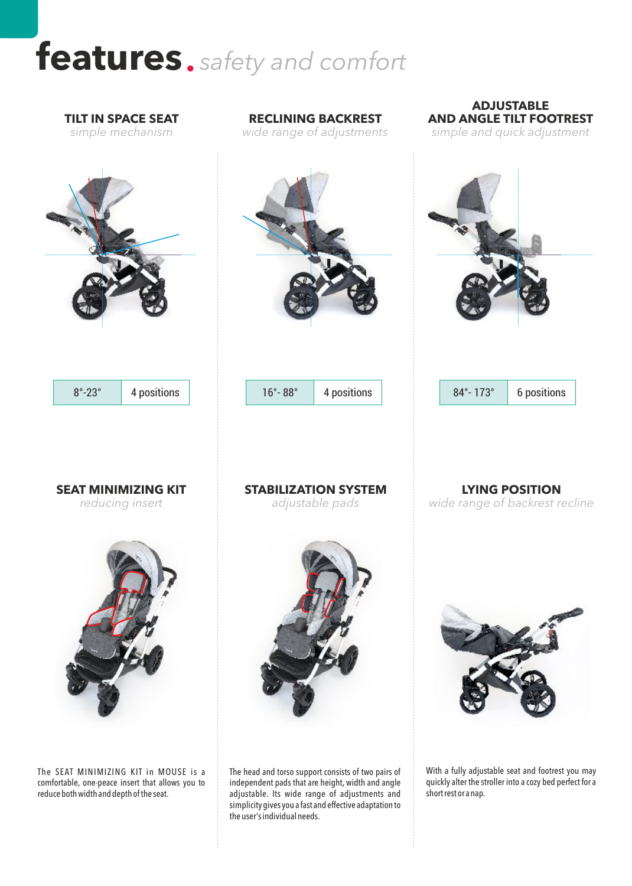# **features** *safety and comfort*

**TILT IN SPACE SEAT**

*wide range of adjustments simple and quick adjustment simple mechanism* **LYING POSITION** *wide range of backrest recline* **SEAT MINIMIZING KIT** *reducing insert* **STABILIZATION SYSTEM** *adjustable pads* 8°-23° | 4 positions | | 16°- 88° | 4 positions | | 84°- 173° | 6 positions

**RECLINING BACKREST**

The SEAT MINIMIZING KIT in MOUSE is a comfortable, one-peace insert that allows you to reduce both width and depth of the seat.

The head and torso support consists of two pairs of independent pads that are height, width and angle adjustable. Its wide range of adjustments and simplicity gives you a fast and effective adaptation to the user's individual needs.

With a fully adjustable seat and footrest you may quickly alter the stroller into a cozy bed perfect for a short rest or a nap.

**ADJUSTABLE AND ANGLE TILT FOOTREST**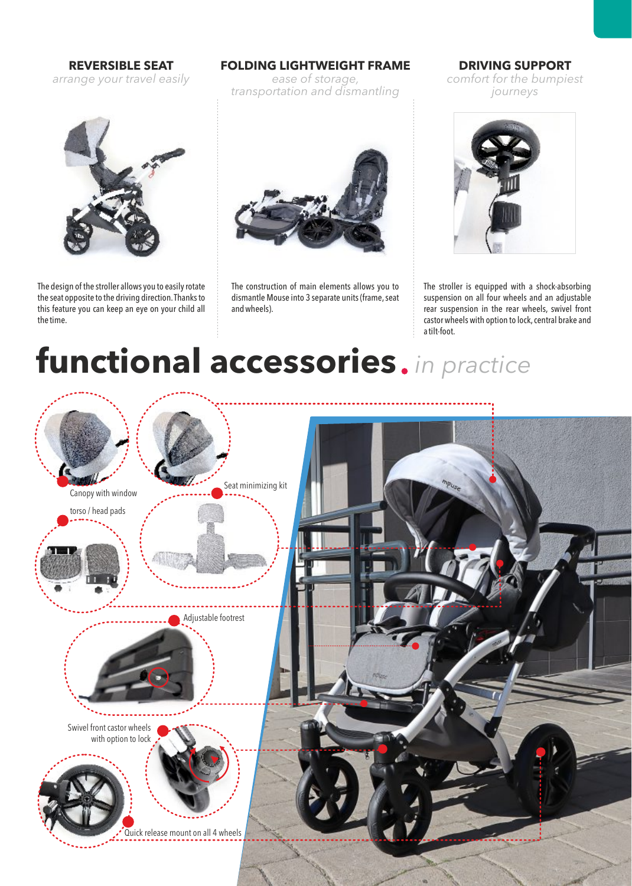**REVERSIBLE SEAT** *arrange your travel easily*



The design of the stroller allows you to easily rotate the seat opposite to the driving direction.Thanks to this feature you can keep an eye on your child all the time.

#### **FOLDING LIGHTWEIGHT FRAME**

*ease of storage, transportation and dismantling*



The construction of main elements allows you to dismantle Mouse into 3 separate units (frame, seat and wheels).

**DRIVING SUPPORT** *comfort for the bumpiest journeys*



The stroller is equipped with a shock-absorbing suspension on all four wheels and an adjustable rear suspension in the rear wheels, swivel front castor wheels with option to lock, central brake and a tilt-foot.

# **functional accessories** *in practice*